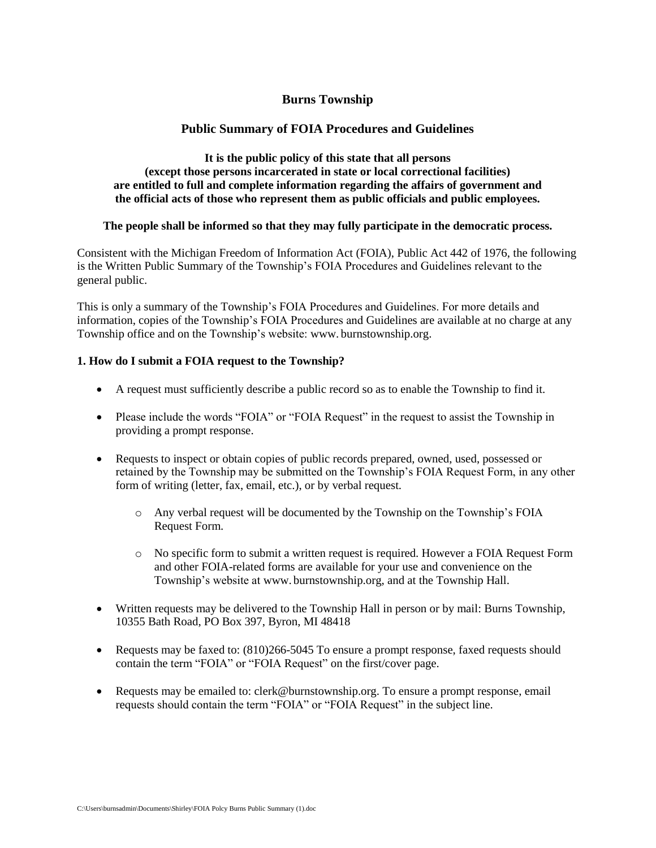# **Burns Township**

# **Public Summary of FOIA Procedures and Guidelines**

### **It is the public policy of this state that all persons (except those persons incarcerated in state or local correctional facilities) are entitled to full and complete information regarding the affairs of government and the official acts of those who represent them as public officials and public employees.**

### **The people shall be informed so that they may fully participate in the democratic process.**

Consistent with the Michigan Freedom of Information Act (FOIA), Public Act 442 of 1976, the following is the Written Public Summary of the Township's FOIA Procedures and Guidelines relevant to the general public.

This is only a summary of the Township's FOIA Procedures and Guidelines. For more details and information, copies of the Township's FOIA Procedures and Guidelines are available at no charge at any Township office and on the Township's website: www. burnstownship.org.

## **1. How do I submit a FOIA request to the Township?**

- A request must sufficiently describe a public record so as to enable the Township to find it.
- Please include the words "FOIA" or "FOIA Request" in the request to assist the Township in providing a prompt response.
- Requests to inspect or obtain copies of public records prepared, owned, used, possessed or retained by the Township may be submitted on the Township's FOIA Request Form, in any other form of writing (letter, fax, email, etc.), or by verbal request.
	- o Any verbal request will be documented by the Township on the Township's FOIA Request Form.
	- o No specific form to submit a written request is required. However a FOIA Request Form and other FOIA-related forms are available for your use and convenience on the Township's website at www. burnstownship.org, and at the Township Hall.
- Written requests may be delivered to the Township Hall in person or by mail: Burns Township, 10355 Bath Road, PO Box 397, Byron, MI 48418
- Requests may be faxed to:  $(810)266-5045$  To ensure a prompt response, faxed requests should contain the term "FOIA" or "FOIA Request" on the first/cover page.
- Requests may be emailed to: clerk@burnstownship.org. To ensure a prompt response, email requests should contain the term "FOIA" or "FOIA Request" in the subject line.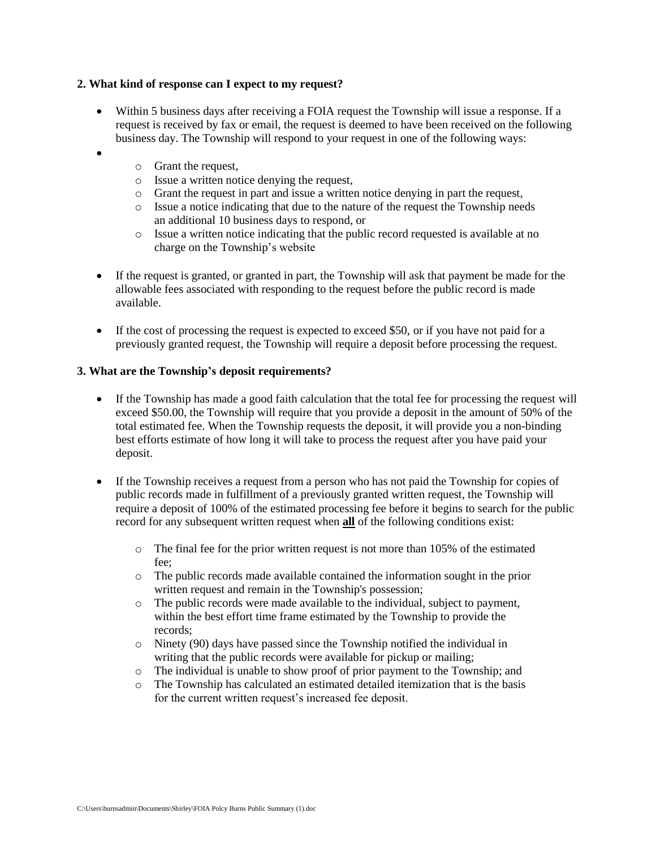### **2. What kind of response can I expect to my request?**

- Within 5 business days after receiving a FOIA request the Township will issue a response. If a request is received by fax or email, the request is deemed to have been received on the following business day. The Township will respond to your request in one of the following ways:
	- o Grant the request,

•

- o Issue a written notice denying the request,
- o Grant the request in part and issue a written notice denying in part the request,
- o Issue a notice indicating that due to the nature of the request the Township needs an additional 10 business days to respond, or
- o Issue a written notice indicating that the public record requested is available at no charge on the Township's website
- If the request is granted, or granted in part, the Township will ask that payment be made for the allowable fees associated with responding to the request before the public record is made available.
- If the cost of processing the request is expected to exceed \$50, or if you have not paid for a previously granted request, the Township will require a deposit before processing the request.

### **3. What are the Township's deposit requirements?**

- If the Township has made a good faith calculation that the total fee for processing the request will exceed \$50.00, the Township will require that you provide a deposit in the amount of 50% of the total estimated fee. When the Township requests the deposit, it will provide you a non-binding best efforts estimate of how long it will take to process the request after you have paid your deposit.
- If the Township receives a request from a person who has not paid the Township for copies of public records made in fulfillment of a previously granted written request, the Township will require a deposit of 100% of the estimated processing fee before it begins to search for the public record for any subsequent written request when **all** of the following conditions exist:
	- $\circ$  The final fee for the prior written request is not more than 105% of the estimated fee;
	- o The public records made available contained the information sought in the prior written request and remain in the Township's possession;
	- o The public records were made available to the individual, subject to payment, within the best effort time frame estimated by the Township to provide the records;
	- o Ninety (90) days have passed since the Township notified the individual in writing that the public records were available for pickup or mailing;
	- o The individual is unable to show proof of prior payment to the Township; and
	- o The Township has calculated an estimated detailed itemization that is the basis for the current written request's increased fee deposit.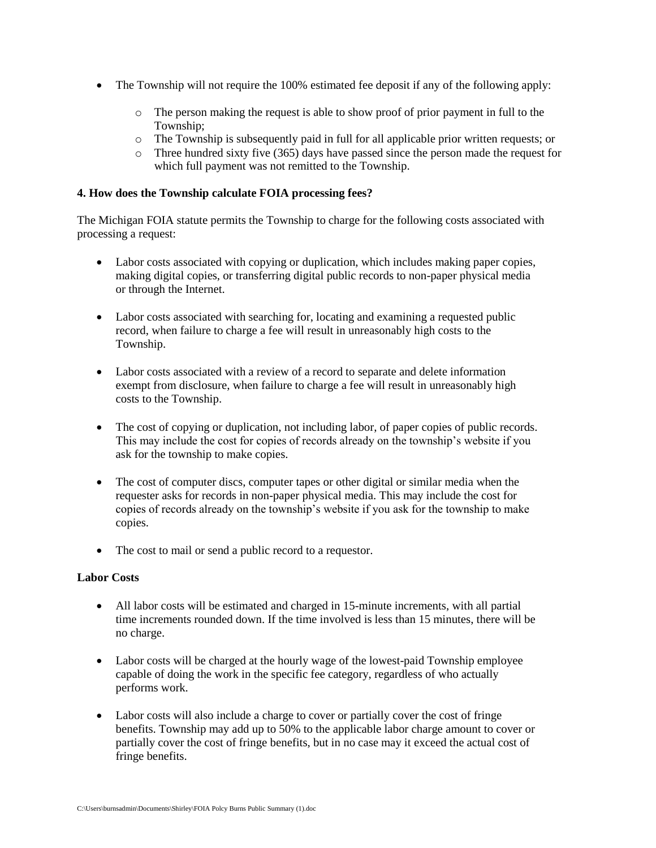- The Township will not require the 100% estimated fee deposit if any of the following apply:
	- o The person making the request is able to show proof of prior payment in full to the Township;
	- o The Township is subsequently paid in full for all applicable prior written requests; or
	- o Three hundred sixty five (365) days have passed since the person made the request for which full payment was not remitted to the Township.

### **4. How does the Township calculate FOIA processing fees?**

The Michigan FOIA statute permits the Township to charge for the following costs associated with processing a request:

- Labor costs associated with copying or duplication, which includes making paper copies, making digital copies, or transferring digital public records to non-paper physical media or through the Internet.
- Labor costs associated with searching for, locating and examining a requested public record, when failure to charge a fee will result in unreasonably high costs to the Township.
- Labor costs associated with a review of a record to separate and delete information exempt from disclosure, when failure to charge a fee will result in unreasonably high costs to the Township.
- The cost of copying or duplication, not including labor, of paper copies of public records. This may include the cost for copies of records already on the township's website if you ask for the township to make copies.
- The cost of computer discs, computer tapes or other digital or similar media when the requester asks for records in non-paper physical media. This may include the cost for copies of records already on the township's website if you ask for the township to make copies.
- The cost to mail or send a public record to a requestor.

### **Labor Costs**

- All labor costs will be estimated and charged in 15-minute increments, with all partial time increments rounded down. If the time involved is less than 15 minutes, there will be no charge.
- Labor costs will be charged at the hourly wage of the lowest-paid Township employee capable of doing the work in the specific fee category, regardless of who actually performs work.
- Labor costs will also include a charge to cover or partially cover the cost of fringe benefits. Township may add up to 50% to the applicable labor charge amount to cover or partially cover the cost of fringe benefits, but in no case may it exceed the actual cost of fringe benefits.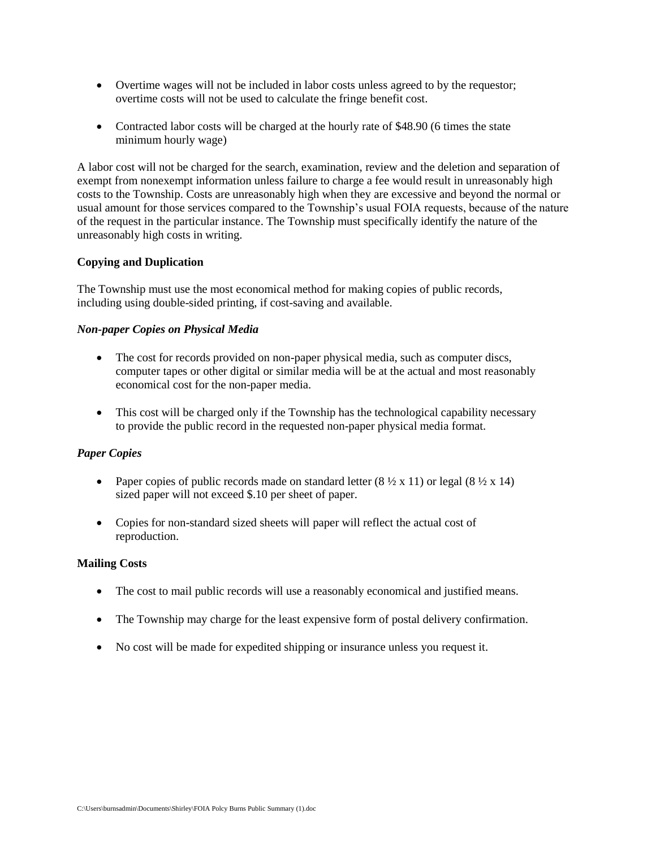- Overtime wages will not be included in labor costs unless agreed to by the requestor; overtime costs will not be used to calculate the fringe benefit cost.
- Contracted labor costs will be charged at the hourly rate of \$48.90 (6 times the state minimum hourly wage)

A labor cost will not be charged for the search, examination, review and the deletion and separation of exempt from nonexempt information unless failure to charge a fee would result in unreasonably high costs to the Township. Costs are unreasonably high when they are excessive and beyond the normal or usual amount for those services compared to the Township's usual FOIA requests, because of the nature of the request in the particular instance. The Township must specifically identify the nature of the unreasonably high costs in writing.

## **Copying and Duplication**

The Township must use the most economical method for making copies of public records, including using double-sided printing, if cost-saving and available.

## *Non-paper Copies on Physical Media*

- The cost for records provided on non-paper physical media, such as computer discs, computer tapes or other digital or similar media will be at the actual and most reasonably economical cost for the non-paper media.
- This cost will be charged only if the Township has the technological capability necessary to provide the public record in the requested non-paper physical media format.

### *Paper Copies*

- Paper copies of public records made on standard letter  $(8 \frac{1}{2} \times 11)$  or legal  $(8 \frac{1}{2} \times 14)$ sized paper will not exceed \$.10 per sheet of paper.
- Copies for non-standard sized sheets will paper will reflect the actual cost of reproduction.

### **Mailing Costs**

- The cost to mail public records will use a reasonably economical and justified means.
- The Township may charge for the least expensive form of postal delivery confirmation.
- No cost will be made for expedited shipping or insurance unless you request it.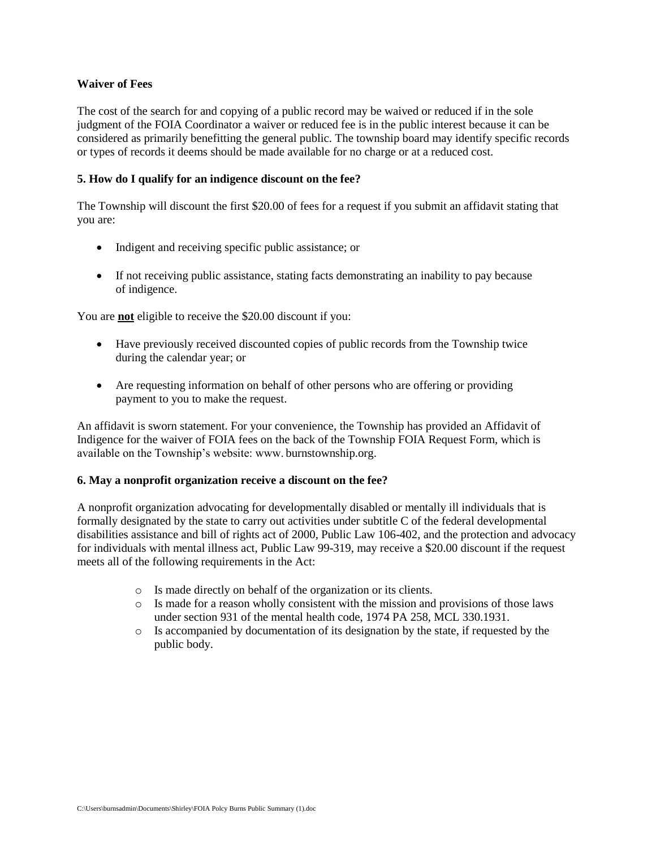### **Waiver of Fees**

The cost of the search for and copying of a public record may be waived or reduced if in the sole judgment of the FOIA Coordinator a waiver or reduced fee is in the public interest because it can be considered as primarily benefitting the general public. The township board may identify specific records or types of records it deems should be made available for no charge or at a reduced cost.

### **5. How do I qualify for an indigence discount on the fee?**

The Township will discount the first \$20.00 of fees for a request if you submit an affidavit stating that you are:

- Indigent and receiving specific public assistance; or
- If not receiving public assistance, stating facts demonstrating an inability to pay because of indigence.

You are **not** eligible to receive the \$20.00 discount if you:

- Have previously received discounted copies of public records from the Township twice during the calendar year; or
- Are requesting information on behalf of other persons who are offering or providing payment to you to make the request.

An affidavit is sworn statement. For your convenience, the Township has provided an Affidavit of Indigence for the waiver of FOIA fees on the back of the Township FOIA Request Form, which is available on the Township's website: www. burnstownship.org.

### **6. May a nonprofit organization receive a discount on the fee?**

A nonprofit organization advocating for developmentally disabled or mentally ill individuals that is formally designated by the state to carry out activities under subtitle C of the federal developmental disabilities assistance and bill of rights act of 2000, Public Law 106-402, and the protection and advocacy for individuals with mental illness act, Public Law 99-319, may receive a \$20.00 discount if the request meets all of the following requirements in the Act:

- o Is made directly on behalf of the organization or its clients.
- o Is made for a reason wholly consistent with the mission and provisions of those laws under section 931 of the mental health code, 1974 PA 258, MCL 330.1931.
- o Is accompanied by documentation of its designation by the state, if requested by the public body.